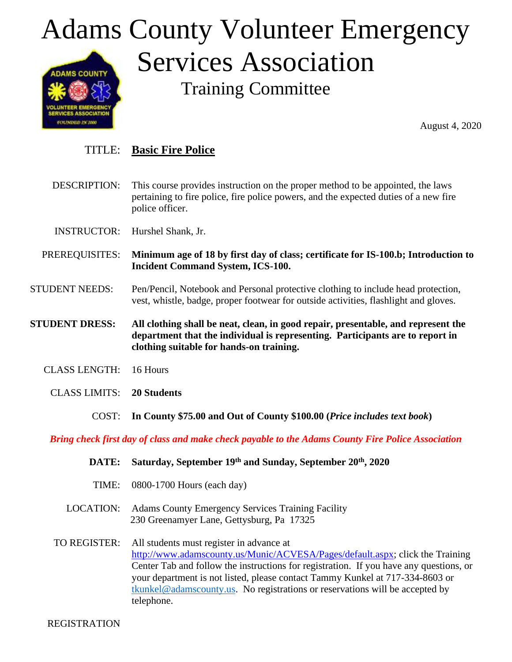## Adams County Volunteer Emergency Services Association **ADAMS COUNTY**

Training Committee

August 4, 2020

## TITLE: **Basic Fire Police**

DESCRIPTION: This course provides instruction on the proper method to be appointed, the laws pertaining to fire police, fire police powers, and the expected duties of a new fire police officer.

INSTRUCTOR: Hurshel Shank, Jr.

**ILUNTEER EMERGENC<br>ERVICES ASSOCIATION COLIMBED IN 2000** 

- PREREQUISITES: **Minimum age of 18 by first day of class; certificate for IS-100.b; Introduction to Incident Command System, ICS-100.**
- STUDENT NEEDS: Pen/Pencil, Notebook and Personal protective clothing to include head protection, vest, whistle, badge, proper footwear for outside activities, flashlight and gloves.

**STUDENT DRESS: All clothing shall be neat, clean, in good repair, presentable, and represent the department that the individual is representing. Participants are to report in clothing suitable for hands-on training.**

- CLASS LENGTH: 16 Hours
	- CLASS LIMITS: **20 Students**
		- COST: **In County \$75.00 and Out of County \$100.00 (***Price includes text book***)**

*Bring check first day of class and make check payable to the Adams County Fire Police Association*

**DATE: Saturday, September 19th and Sunday, September 20th, 2020** TIME: 0800-1700 Hours (each day) LOCATION: Adams County Emergency Services Training Facility 230 Greenamyer Lane, Gettysburg, Pa 17325 TO REGISTER: All students must register in advance at [http://www.adamscounty.us/Munic/ACVESA/Pages/default.aspx;](http://www.adamscounty.us/Munic/ACVESA/Pages/default.aspx) click the Training Center Tab and follow the instructions for registration. If you have any questions, or your department is not listed, please contact Tammy Kunkel at 717-334-8603 or [tkunkel@adamscounty.us.](mailto:tkunkel@adamscounty.us) No registrations or reservations will be accepted by telephone.

REGISTRATION